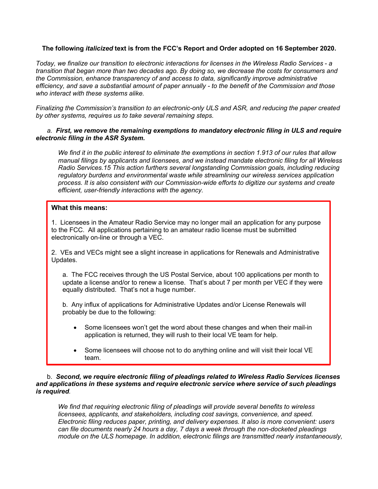# **The following** *italicized* **text is from the FCC's Report and Order adopted on 16 September 2020.**

*Today, we finalize our transition to electronic interactions for licenses in the Wireless Radio Services - a transition that began more than two decades ago. By doing so, we decrease the costs for consumers and the Commission, enhance transparency of and access to data, significantly improve administrative efficiency, and save a substantial amount of paper annually - to the benefit of the Commission and those who interact with these systems alike.* 

*Finalizing the Commission's transition to an electronic-only ULS and ASR, and reducing the paper created by other systems, requires us to take several remaining steps.* 

# *a. First, we remove the remaining exemptions to mandatory electronic filing in ULS and require electronic filing in the ASR System.*

*We find it in the public interest to eliminate the exemptions in section 1.913 of our rules that allow manual filings by applicants and licensees, and we instead mandate electronic filing for all Wireless Radio Services.15 This action furthers several longstanding Commission goals, including reducing regulatory burdens and environmental waste while streamlining our wireless services application process. It is also consistent with our Commission-wide efforts to digitize our systems and create efficient, user-friendly interactions with the agency.*

## **What this means:**

1. Licensees in the Amateur Radio Service may no longer mail an application for any purpose to the FCC. All applications pertaining to an amateur radio license must be submitted electronically on-line or through a VEC.

2. VEs and VECs might see a slight increase in applications for Renewals and Administrative Updates.

a. The FCC receives through the US Postal Service, about 100 applications per month to update a license and/or to renew a license. That's about 7 per month per VEC if they were equally distributed. That's not a huge number.

b. Any influx of applications for Administrative Updates and/or License Renewals will probably be due to the following:

- Some licensees won't get the word about these changes and when their mail-in application is returned, they will rush to their local VE team for help.
- Some licensees will choose not to do anything online and will visit their local VE team.

#### b. *Second, we require electronic filing of pleadings related to Wireless Radio Services licenses and applications in these systems and require electronic service where service of such pleadings is required.*

*We find that requiring electronic filing of pleadings will provide several benefits to wireless licensees, applicants, and stakeholders, including cost savings, convenience, and speed. Electronic filing reduces paper, printing, and delivery expenses. It also is more convenient: users can file documents nearly 24 hours a day, 7 days a week through the non-docketed pleadings module on the ULS homepage. In addition, electronic filings are transmitted nearly instantaneously,*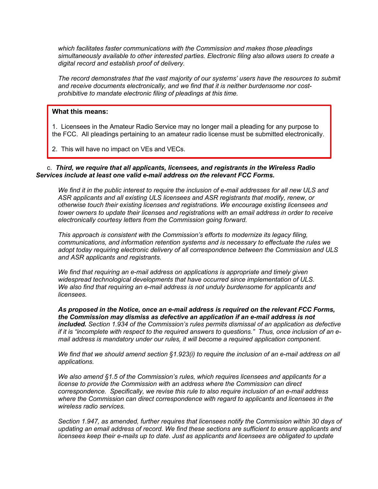*which facilitates faster communications with the Commission and makes those pleadings simultaneously available to other interested parties. Electronic filing also allows users to create a digital record and establish proof of delivery.* 

*The record demonstrates that the vast majority of our systems' users have the resources to submit and receive documents electronically, and we find that it is neither burdensome nor costprohibitive to mandate electronic filing of pleadings at this time.* 

## **What this means:**

1. Licensees in the Amateur Radio Service may no longer mail a pleading for any purpose to the FCC. All pleadings pertaining to an amateur radio license must be submitted electronically.

2. This will have no impact on VEs and VECs.

#### c. *Third, we require that all applicants, licensees, and registrants in the Wireless Radio Services include at least one valid e-mail address on the relevant FCC Forms.*

*We find it in the public interest to require the inclusion of e-mail addresses for all new ULS and ASR applicants and all existing ULS licensees and ASR registrants that modify, renew, or otherwise touch their existing licenses and registrations. We encourage existing licensees and tower owners to update their licenses and registrations with an email address in order to receive electronically courtesy letters from the Commission going forward.* 

*This approach is consistent with the Commission's efforts to modernize its legacy filing, communications, and information retention systems and is necessary to effectuate the rules we adopt today requiring electronic delivery of all correspondence between the Commission and ULS and ASR applicants and registrants.* 

*We find that requiring an e-mail address on applications is appropriate and timely given widespread technological developments that have occurred since implementation of ULS. We also find that requiring an e-mail address is not unduly burdensome for applicants and licensees.*

*As proposed in the Notice, once an e-mail address is required on the relevant FCC Forms, the Commission may dismiss as defective an application if an e-mail address is not included. Section 1.934 of the Commission's rules permits dismissal of an application as defective if it is "incomplete with respect to the required answers to questions." Thus, once inclusion of an email address is mandatory under our rules, it will become a required application component.* 

*We find that we should amend section §1.923(i) to require the inclusion of an e-mail address on all applications.* 

*We also amend §1.5 of the Commission's rules, which requires licensees and applicants for a license to provide the Commission with an address where the Commission can direct correspondence. Specifically, we revise this rule to also require inclusion of an e-mail address where the Commission can direct correspondence with regard to applicants and licensees in the wireless radio services.* 

*Section 1.947, as amended, further requires that licensees notify the Commission within 30 days of updating an email address of record. We find these sections are sufficient to ensure applicants and licensees keep their e-mails up to date. Just as applicants and licensees are obligated to update*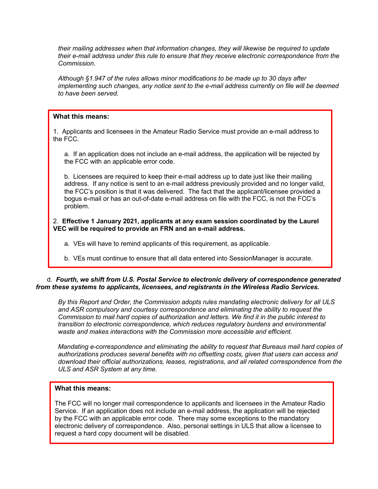*their mailing addresses when that information changes, they will likewise be required to update their e-mail address under this rule to ensure that they receive electronic correspondence from the Commission.* 

*Although §1.947 of the rules allows minor modifications to be made up to 30 days after implementing such changes, any notice sent to the e-mail address currently on file will be deemed to have been served.* 

# **What this means:**

1. Applicants and licensees in the Amateur Radio Service must provide an e-mail address to the FCC.

a. If an application does not include an e-mail address, the application will be rejected by the FCC with an applicable error code.

b. Licensees are required to keep their e-mail address up to date just like their mailing address. If any notice is sent to an e-mail address previously provided and no longer valid, the FCC's position is that it was delivered. The fact that the applicant/licensee provided a bogus e-mail or has an out-of-date e-mail address on file with the FCC, is not the FCC's problem.

# 2. **Effective 1 January 2021, applicants at any exam session coordinated by the Laurel VEC will be required to provide an FRN and an e-mail address.**

a. VEs will have to remind applicants of this requirement, as applicable.

b. VEs must continue to ensure that all data entered into SessionManager is accurate.

# d. *Fourth, we shift from U.S. Postal Service to electronic delivery of correspondence generated from these systems to applicants, licensees, and registrants in the Wireless Radio Services.*

*By this Report and Order, the Commission adopts rules mandating electronic delivery for all ULS and ASR compulsory and courtesy correspondence and eliminating the ability to request the Commission to mail hard copies of authorization and letters. We find it in the public interest to transition to electronic correspondence, which reduces regulatory burdens and environmental waste and makes interactions with the Commission more accessible and efficient.* 

*Mandating e-correspondence and eliminating the ability to request that Bureaus mail hard copies of authorizations produces several benefits with no offsetting costs, given that users can access and download their official authorizations, leases, registrations, and all related correspondence from the ULS and ASR System at any time.*

# **What this means:**

The FCC will no longer mail correspondence to applicants and licensees in the Amateur Radio Service. If an application does not include an e-mail address, the application will be rejected by the FCC with an applicable error code. There may some exceptions to the mandatory electronic delivery of correspondence. Also, personal settings in ULS that allow a licensee to request a hard copy document will be disabled.